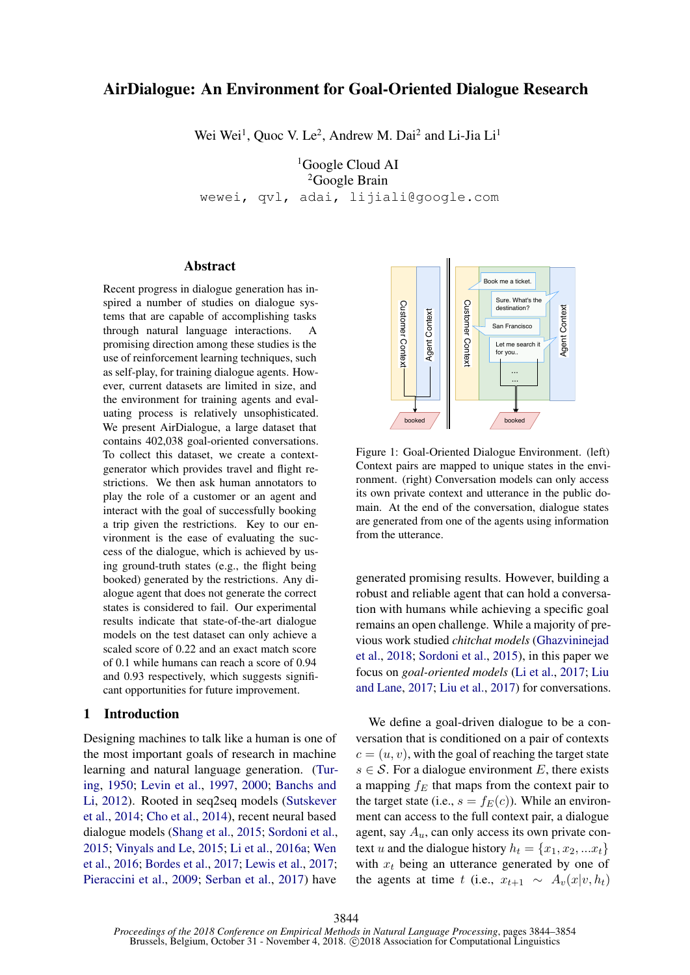# <span id="page-0-0"></span>AirDialogue: An Environment for Goal-Oriented Dialogue Research

Wei Wei<sup>1</sup>, Quoc V. Le<sup>2</sup>, Andrew M. Dai<sup>2</sup> and Li-Jia Li<sup>1</sup>

<sup>1</sup>Google Cloud AI  ${}^{2}$ Google Brain wewei, qvl, adai, lijiali@google.com

#### Abstract

Recent progress in dialogue generation has inspired a number of studies on dialogue systems that are capable of accomplishing tasks through natural language interactions. A promising direction among these studies is the use of reinforcement learning techniques, such as self-play, for training dialogue agents. However, current datasets are limited in size, and the environment for training agents and evaluating process is relatively unsophisticated. We present AirDialogue, a large dataset that contains 402,038 goal-oriented conversations. To collect this dataset, we create a contextgenerator which provides travel and flight restrictions. We then ask human annotators to play the role of a customer or an agent and interact with the goal of successfully booking a trip given the restrictions. Key to our environment is the ease of evaluating the success of the dialogue, which is achieved by using ground-truth states (e.g., the flight being booked) generated by the restrictions. Any dialogue agent that does not generate the correct states is considered to fail. Our experimental results indicate that state-of-the-art dialogue models on the test dataset can only achieve a scaled score of 0.22 and an exact match score of 0.1 while humans can reach a score of 0.94 and 0.93 respectively, which suggests significant opportunities for future improvement. spectral a manner of studies on datagenes increases on datageness. A<br>through hautar dapage interactions. A<br>more in an example to accomplishing tasks a<br>through hautar dapage interactions. A<br>pointing direction among these s

#### 1 Introduction

Designing machines to talk like a human is one of the most important goals of research in machine learning and natural language generation. [\(Tur](#page-10-0)[ing,](#page-10-0) [1950;](#page-10-0) [Levin et al.,](#page-9-0) [1997,](#page-9-0) [2000;](#page-9-1) [Banchs and](#page-8-0) [Li,](#page-8-0) [2012\)](#page-8-0). Rooted in seq2seq models [\(Sutskever](#page-10-1) [et al.,](#page-10-1) [2014;](#page-10-1) [Cho et al.,](#page-9-2) [2014\)](#page-9-2), recent neural based dialogue models [\(Shang et al.,](#page-9-3) [2015;](#page-9-3) [Sordoni et al.,](#page-9-4) [2015;](#page-9-4) [Vinyals and Le,](#page-10-2) [2015;](#page-10-2) [Li et al.,](#page-9-5) [2016a;](#page-9-5) [Wen](#page-10-3) [et al.,](#page-10-3) [2016;](#page-10-3) [Bordes et al.,](#page-9-6) [2017;](#page-9-6) [Lewis et al.,](#page-9-7) [2017;](#page-9-7)



Figure 1: Goal-Oriented Dialogue Environment. (left) Context pairs are mapped to unique states in the environment. (right) Conversation models can only access its own private context and utterance in the public domain. At the end of the conversation, dialogue states are generated from one of the agents using information from the utterance.

generated promising results. However, building a robust and reliable agent that can hold a conversation with humans while achieving a specific goal remains an open challenge. While a majority of previous work studied *chitchat models* [\(Ghazvininejad](#page-9-10) [et al.,](#page-9-10) [2018;](#page-9-10) [Sordoni et al.,](#page-9-4) [2015\)](#page-9-4), in this paper we focus on *goal-oriented models* [\(Li et al.,](#page-9-11) [2017;](#page-9-11) [Liu](#page-9-12) [and Lane,](#page-9-12) [2017;](#page-9-12) [Liu et al.,](#page-9-13) [2017\)](#page-9-13) for conversations.

We define a goal-driven dialogue to be a conversation that is conditioned on a pair of contexts  $c = (u, v)$ , with the goal of reaching the target state  $s \in \mathcal{S}$ . For a dialogue environment E, there exists a mapping  $f_E$  that maps from the context pair to the target state (i.e.,  $s = f_E(c)$ ). While an environment can access to the full context pair, a dialogue agent, say  $A_u$ , can only access its own private context u and the dialogue history  $h_t = \{x_1, x_2, ... x_t\}$ with  $x_t$  being an utterance generated by one of the agents at time t (i.e.,  $x_{t+1} \sim A_v(x|v, h_t)$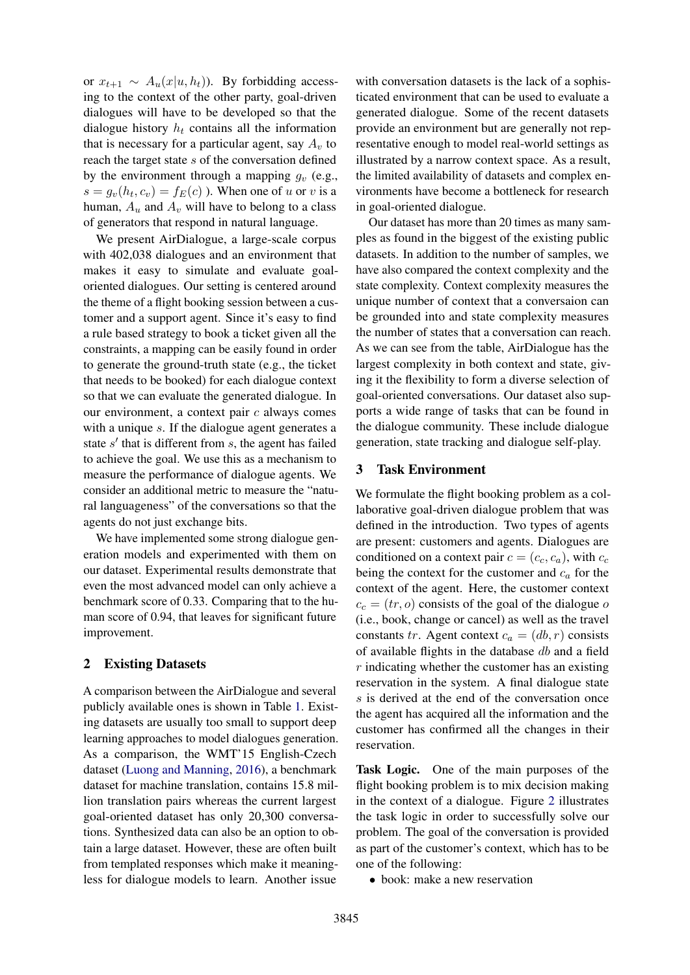or  $x_{t+1} \sim A_u(x|u, h_t)$ ). By forbidding accessing to the context of the other party, goal-driven dialogues will have to be developed so that the dialogue history  $h_t$  contains all the information that is necessary for a particular agent, say  $A_v$  to reach the target state s of the conversation defined by the environment through a mapping  $q_v$  (e.g.,  $s = g_v(h_t, c_v) = f_E(c)$ ). When one of u or v is a human,  $A_u$  and  $A_v$  will have to belong to a class of generators that respond in natural language.

We present AirDialogue, a large-scale corpus with 402,038 dialogues and an environment that makes it easy to simulate and evaluate goaloriented dialogues. Our setting is centered around the theme of a flight booking session between a customer and a support agent. Since it's easy to find a rule based strategy to book a ticket given all the constraints, a mapping can be easily found in order to generate the ground-truth state (e.g., the ticket that needs to be booked) for each dialogue context so that we can evaluate the generated dialogue. In our environment, a context pair  $c$  always comes with a unique s. If the dialogue agent generates a state  $s'$  that is different from  $s$ , the agent has failed to achieve the goal. We use this as a mechanism to measure the performance of dialogue agents. We consider an additional metric to measure the "natural languageness" of the conversations so that the agents do not just exchange bits.

We have implemented some strong dialogue generation models and experimented with them on our dataset. Experimental results demonstrate that even the most advanced model can only achieve a benchmark score of 0.33. Comparing that to the human score of 0.94, that leaves for significant future improvement.

### 2 Existing Datasets

A comparison between the AirDialogue and several publicly available ones is shown in Table [1.](#page-2-0) Existing datasets are usually too small to support deep learning approaches to model dialogues generation. As a comparison, the WMT'15 English-Czech dataset [\(Luong and Manning,](#page-9-14) [2016\)](#page-9-14), a benchmark dataset for machine translation, contains 15.8 million translation pairs whereas the current largest goal-oriented dataset has only 20,300 conversations. Synthesized data can also be an option to obtain a large dataset. However, these are often built from templated responses which make it meaningless for dialogue models to learn. Another issue

with conversation datasets is the lack of a sophisticated environment that can be used to evaluate a generated dialogue. Some of the recent datasets provide an environment but are generally not representative enough to model real-world settings as illustrated by a narrow context space. As a result, the limited availability of datasets and complex environments have become a bottleneck for research in goal-oriented dialogue.

Our dataset has more than 20 times as many samples as found in the biggest of the existing public datasets. In addition to the number of samples, we have also compared the context complexity and the state complexity. Context complexity measures the unique number of context that a conversaion can be grounded into and state complexity measures the number of states that a conversation can reach. As we can see from the table, AirDialogue has the largest complexity in both context and state, giving it the flexibility to form a diverse selection of goal-oriented conversations. Our dataset also supports a wide range of tasks that can be found in the dialogue community. These include dialogue generation, state tracking and dialogue self-play.

#### 3 Task Environment

We formulate the flight booking problem as a collaborative goal-driven dialogue problem that was defined in the introduction. Two types of agents are present: customers and agents. Dialogues are conditioned on a context pair  $c = (c_c, c_a)$ , with  $c_c$ being the context for the customer and  $c_a$  for the context of the agent. Here, the customer context  $c_c = (tr, o)$  consists of the goal of the dialogue o (i.e., book, change or cancel) as well as the travel constants tr. Agent context  $c_a = (db, r)$  consists of available flights in the database db and a field  $r$  indicating whether the customer has an existing reservation in the system. A final dialogue state s is derived at the end of the conversation once the agent has acquired all the information and the customer has confirmed all the changes in their reservation.

Task Logic. One of the main purposes of the flight booking problem is to mix decision making in the context of a dialogue. Figure [2](#page-3-0) illustrates the task logic in order to successfully solve our problem. The goal of the conversation is provided as part of the customer's context, which has to be one of the following:

• book: make a new reservation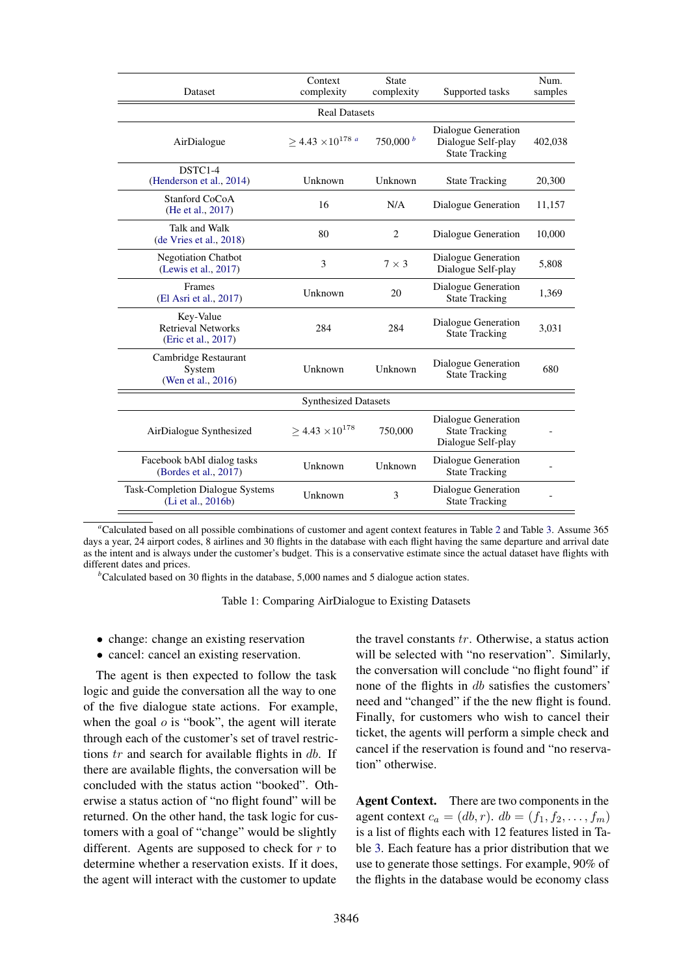| Dataset                                                       | Context<br><b>State</b><br>complexity<br>complexity |                                                                               | Supported tasks                                                    | Num.<br>samples |  |  |  |
|---------------------------------------------------------------|-----------------------------------------------------|-------------------------------------------------------------------------------|--------------------------------------------------------------------|-----------------|--|--|--|
| <b>Real Datasets</b>                                          |                                                     |                                                                               |                                                                    |                 |  |  |  |
| AirDialogue                                                   | $>$ 4.43 $\times$ 10 <sup>178</sup> a<br>750,000 b  |                                                                               | Dialogue Generation<br>Dialogue Self-play<br><b>State Tracking</b> | 402,038         |  |  |  |
| DSTC1-4<br>(Henderson et al., 2014)                           | Unknown                                             | Unknown                                                                       | <b>State Tracking</b>                                              | 20,300          |  |  |  |
| <b>Stanford CoCoA</b><br>(He et al., 2017)                    | 16                                                  | N/A                                                                           | Dialogue Generation                                                | 11,157          |  |  |  |
| Talk and Walk<br>(de Vries et al., 2018)                      | 80                                                  | 2                                                                             | Dialogue Generation                                                | 10,000          |  |  |  |
| Negotiation Chatbot<br>(Lewis et al., 2017)                   | 3<br>$7 \times 3$                                   |                                                                               | Dialogue Generation<br>Dialogue Self-play                          | 5,808           |  |  |  |
| Frames<br>(El Asri et al., 2017)                              | Unknown                                             | 20                                                                            | Dialogue Generation<br><b>State Tracking</b>                       | 1,369           |  |  |  |
| Key-Value<br><b>Retrieval Networks</b><br>(Eric et al., 2017) | 284                                                 | Dialogue Generation<br>284<br><b>State Tracking</b>                           |                                                                    | 3,031           |  |  |  |
| Cambridge Restaurant<br>System<br>(Wen et al., 2016)          | Unknown                                             | Unknown                                                                       | Dialogue Generation<br><b>State Tracking</b>                       | 680             |  |  |  |
|                                                               | <b>Synthesized Datasets</b>                         |                                                                               |                                                                    |                 |  |  |  |
| AirDialogue Synthesized                                       | $\geq 4.43 \times 10^{178}$                         | Dialogue Generation<br>750,000<br><b>State Tracking</b><br>Dialogue Self-play |                                                                    |                 |  |  |  |
| Facebook bAbI dialog tasks<br>(Bordes et al., 2017)           | Unknown                                             | Unknown                                                                       | Dialogue Generation<br><b>State Tracking</b>                       |                 |  |  |  |
| Task-Completion Dialogue Systems<br>(Li et al., 2016b)        | Unknown                                             | 3                                                                             | Dialogue Generation<br><b>State Tracking</b>                       |                 |  |  |  |

<span id="page-2-1"></span>*<sup>a</sup>*Calculated based on all possible combinations of customer and agent context features in Table [2](#page-4-0) and Table [3.](#page-4-1) Assume 365 days a year, 24 airport codes, 8 airlines and 30 flights in the database with each flight having the same departure and arrival date as the intent and is always under the customer's budget. This is a conservative estimate since the actual dataset have flights with different dates and prices.

 $<sup>b</sup>$ Calculated based on 30 flights in the database, 5,000 names and 5 dialogue action states.</sup>

<span id="page-2-0"></span>Table 1: Comparing AirDialogue to Existing Datasets

- change: change an existing reservation
- cancel: cancel an existing reservation.

The agent is then expected to follow the task logic and guide the conversation all the way to one of the five dialogue state actions. For example, when the goal  $o$  is "book", the agent will iterate through each of the customer's set of travel restrictions  $tr$  and search for available flights in  $db$ . If there are available flights, the conversation will be concluded with the status action "booked". Otherwise a status action of "no flight found" will be returned. On the other hand, the task logic for customers with a goal of "change" would be slightly different. Agents are supposed to check for  $r$  to determine whether a reservation exists. If it does, the agent will interact with the customer to update

the travel constants tr. Otherwise, a status action will be selected with "no reservation". Similarly, the conversation will conclude "no flight found" if none of the flights in db satisfies the customers' need and "changed" if the the new flight is found. Finally, for customers who wish to cancel their ticket, the agents will perform a simple check and cancel if the reservation is found and "no reservation" otherwise.

Agent Context. There are two components in the agent context  $c_a = (db, r)$ .  $db = (f_1, f_2, \dots, f_m)$ is a list of flights each with 12 features listed in Table [3.](#page-4-1) Each feature has a prior distribution that we use to generate those settings. For example, 90% of the flights in the database would be economy class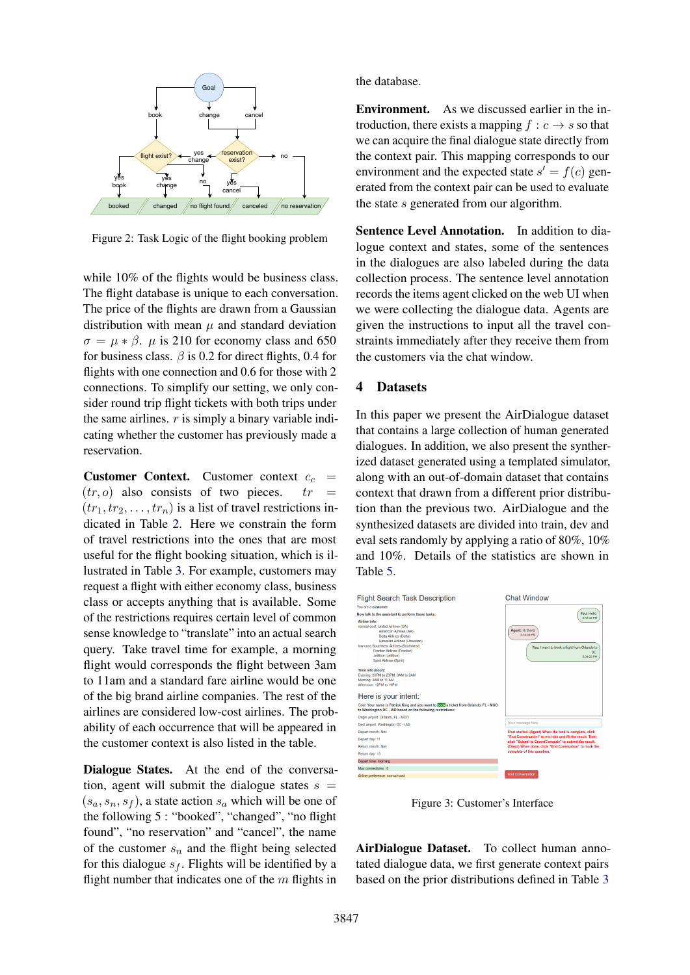

<span id="page-3-0"></span>Figure 2: Task Logic of the flight booking problem

while 10% of the flights would be business class. The flight database is unique to each conversation. The price of the flights are drawn from a Gaussian distribution with mean  $\mu$  and standard deviation  $\sigma = \mu * \beta$ .  $\mu$  is 210 for economy class and 650 for business class.  $\beta$  is 0.2 for direct flights, 0.4 for flights with one connection and 0.6 for those with 2 connections. To simplify our setting, we only consider round trip flight tickets with both trips under the same airlines.  $r$  is simply a binary variable indicating whether the customer has previously made a reservation.

**Customer Context.** Customer context  $c_c$  =  $(tr, o)$  also consists of two pieces.  $tr =$  $(tr_1, tr_2, \ldots, tr_n)$  is a list of travel restrictions indicated in Table [2.](#page-4-0) Here we constrain the form of travel restrictions into the ones that are most useful for the flight booking situation, which is illustrated in Table [3.](#page-4-1) For example, customers may request a flight with either economy class, business class or accepts anything that is available. Some of the restrictions requires certain level of common sense knowledge to "translate" into an actual search query. Take travel time for example, a morning flight would corresponds the flight between 3am to 11am and a standard fare airline would be one of the big brand airline companies. The rest of the airlines are considered low-cost airlines. The probability of each occurrence that will be appeared in the customer context is also listed in the table.

Dialogue States. At the end of the conversation, agent will submit the dialogue states  $s =$  $(s_a, s_n, s_f)$ , a state action  $s_a$  which will be one of the following 5 : "booked", "changed", "no flight found", "no reservation" and "cancel", the name of the customer  $s_n$  and the flight being selected for this dialogue  $s_f$ . Flights will be identified by a flight number that indicates one of the  $m$  flights in the database.

Environment. As we discussed earlier in the introduction, there exists a mapping  $f : c \rightarrow s$  so that we can acquire the final dialogue state directly from the context pair. This mapping corresponds to our environment and the expected state  $s' = f(c)$  generated from the context pair can be used to evaluate the state s generated from our algorithm.

Sentence Level Annotation. In addition to dialogue context and states, some of the sentences in the dialogues are also labeled during the data collection process. The sentence level annotation records the items agent clicked on the web UI when we were collecting the dialogue data. Agents are given the instructions to input all the travel constraints immediately after they receive them from the customers via the chat window.

### 4 Datasets

In this paper we present the AirDialogue dataset that contains a large collection of human generated dialogues. In addition, we also present the syntherized dataset generated using a templated simulator, along with an out-of-domain dataset that contains context that drawn from a different prior distribution than the previous two. AirDialogue and the synthesized datasets are divided into train, dev and eval sets randomly by applying a ratio of 80%, 10% and 10%. Details of the statistics are shown in Table [5.](#page-4-2)



Figure 3: Customer's Interface

<span id="page-3-1"></span>AirDialogue Dataset. To collect human annotated dialogue data, we first generate context pairs based on the prior distributions defined in Table [3](#page-4-1)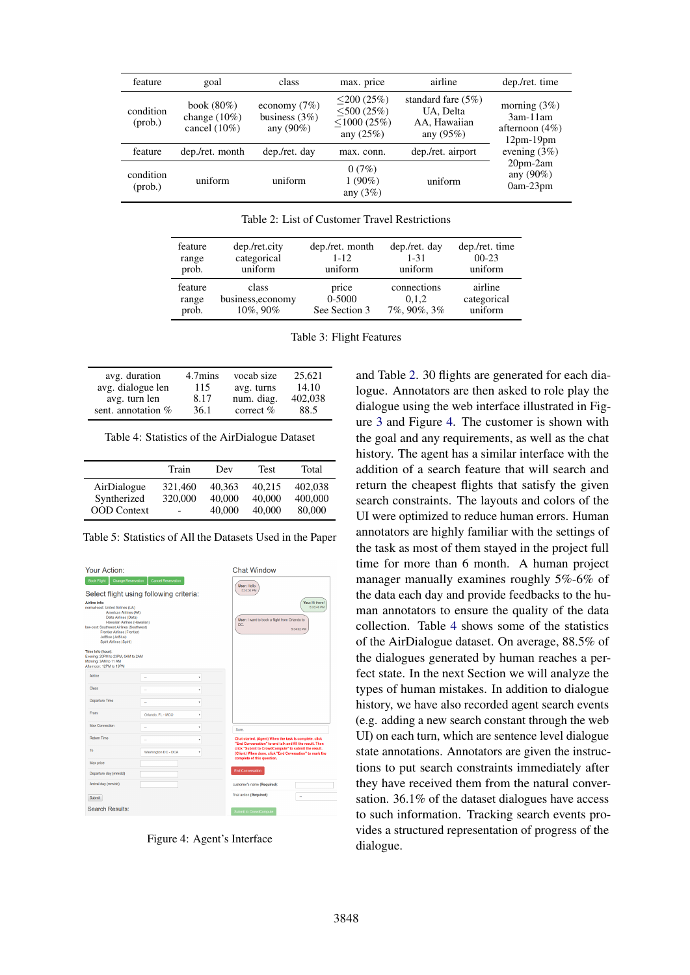| feature                | goal                                                | class                                              | max. price                                                             | airline                                                            | dep./ret. time                                                    |
|------------------------|-----------------------------------------------------|----------------------------------------------------|------------------------------------------------------------------------|--------------------------------------------------------------------|-------------------------------------------------------------------|
| condition<br>$(prob.)$ | book $(80\%)$<br>change $(10\%)$<br>cancel $(10\%)$ | economy $(7%)$<br>business $(3\%)$<br>any $(90\%)$ | $\leq$ 200 (25%)<br>$<$ 500 (25%)<br>$\leq$ 1000 (25%)<br>any $(25\%)$ | standard fare $(5\%)$<br>UA, Delta<br>AA, Hawaiian<br>any $(95\%)$ | morning $(3\%)$<br>$3am-11am$<br>afternoon $(4\%)$<br>$12pm-19pm$ |
| feature                | dep./ret. month                                     | dep./ret. day                                      | max. conn.                                                             | dep./ret. airport                                                  | evening $(3\%)$                                                   |
| condition<br>$(prob.)$ | uniform                                             | uniform                                            | 0(7%)<br>$1(90\%)$<br>any $(3\%)$                                      | uniform                                                            | $20pm-2am$<br>any $(90\%)$<br>$0am-23pm$                          |

<span id="page-4-0"></span>Table 2: List of Customer Travel Restrictions

| feature | dep./ret.city     | dep./ret. month | dep./ret. day | dep./ret. time |
|---------|-------------------|-----------------|---------------|----------------|
| range   | categorical       | $1 - 12$        | $1 - 31$      | $00-23$        |
| prob.   | uniform           | uniform         | uniform       | uniform        |
| feature | class             | price           | connections   | airline        |
| range   | business, economy | 0-5000          | 0.1.2         | categorical    |
| prob.   | 10%, 90%          | See Section 3   | 7%, 90%, 3%   | uniform        |

<span id="page-4-1"></span>Table 3: Flight Features

| avg. duration        | 4.7mins | vocab size  | 25.621  |
|----------------------|---------|-------------|---------|
| avg. dialogue len    | 115     | avg. turns  | 14.10   |
| avg. turn len        | 8.17    | num. diag.  | 402,038 |
| sent. annotation $%$ | 36.1    | correct $%$ | 88.5    |

<span id="page-4-4"></span>Table 4: Statistics of the AirDialogue Dataset

|                    | Train   | Dev    | Test   | Total   |
|--------------------|---------|--------|--------|---------|
| AirDialogue        | 321,460 | 40.363 | 40.215 | 402.038 |
| Syntherized        | 320,000 | 40,000 | 40,000 | 400,000 |
| <b>OOD</b> Context | -       | 40,000 | 40,000 | 80,000  |

<span id="page-4-2"></span>Table 5: Statistics of All the Datasets Used in the Paper



<span id="page-4-3"></span>Figure 4: Agent's Interface

and Table [2.](#page-4-0) 30 flights are generated for each dialogue. Annotators are then asked to role play the dialogue using the web interface illustrated in Figure [3](#page-3-1) and Figure [4.](#page-4-3) The customer is shown with the goal and any requirements, as well as the chat history. The agent has a similar interface with the addition of a search feature that will search and return the cheapest flights that satisfy the given search constraints. The layouts and colors of the UI were optimized to reduce human errors. Human annotators are highly familiar with the settings of the task as most of them stayed in the project full time for more than 6 month. A human project manager manually examines roughly 5%-6% of the data each day and provide feedbacks to the human annotators to ensure the quality of the data collection. Table [4](#page-4-4) shows some of the statistics of the AirDialogue dataset. On average, 88.5% of the dialogues generated by human reaches a perfect state. In the next Section we will analyze the types of human mistakes. In addition to dialogue history, we have also recorded agent search events (e.g. adding a new search constant through the web UI) on each turn, which are sentence level dialogue state annotations. Annotators are given the instructions to put search constraints immediately after they have received them from the natural conversation. 36.1% of the dataset dialogues have access to such information. Tracking search events provides a structured representation of progress of the dialogue.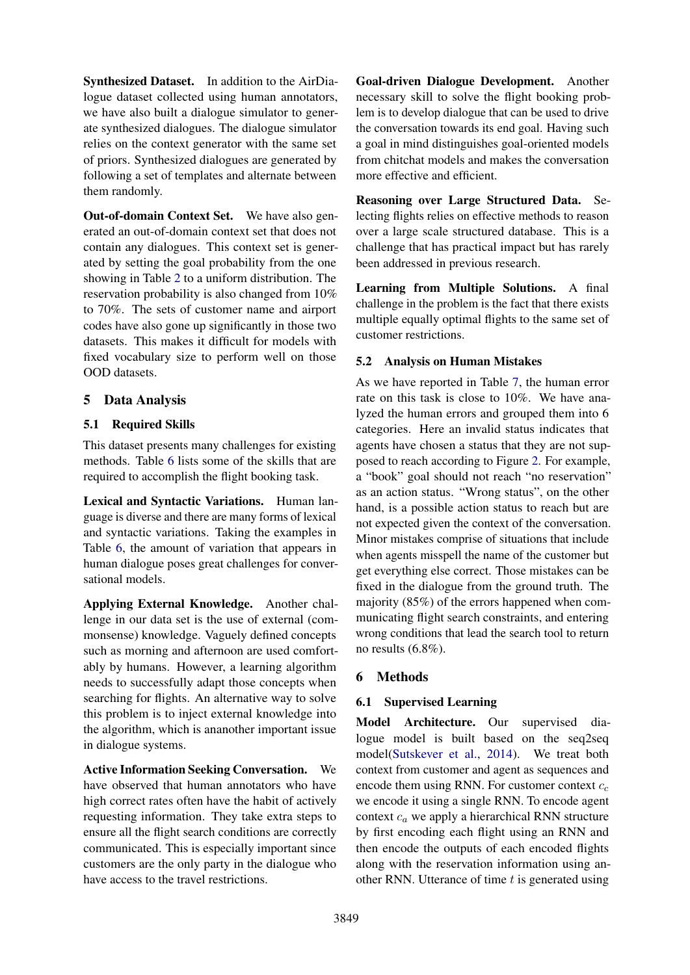Synthesized Dataset. In addition to the AirDialogue dataset collected using human annotators, we have also built a dialogue simulator to generate synthesized dialogues. The dialogue simulator relies on the context generator with the same set of priors. Synthesized dialogues are generated by following a set of templates and alternate between them randomly.

Out-of-domain Context Set. We have also generated an out-of-domain context set that does not contain any dialogues. This context set is generated by setting the goal probability from the one showing in Table [2](#page-4-0) to a uniform distribution. The reservation probability is also changed from 10% to 70%. The sets of customer name and airport codes have also gone up significantly in those two datasets. This makes it difficult for models with fixed vocabulary size to perform well on those OOD datasets.

## 5 Data Analysis

## 5.1 Required Skills

This dataset presents many challenges for existing methods. Table [6](#page-6-0) lists some of the skills that are required to accomplish the flight booking task.

Lexical and Syntactic Variations. Human language is diverse and there are many forms of lexical and syntactic variations. Taking the examples in Table [6,](#page-6-0) the amount of variation that appears in human dialogue poses great challenges for conversational models.

Applying External Knowledge. Another challenge in our data set is the use of external (commonsense) knowledge. Vaguely defined concepts such as morning and afternoon are used comfortably by humans. However, a learning algorithm needs to successfully adapt those concepts when searching for flights. An alternative way to solve this problem is to inject external knowledge into the algorithm, which is ananother important issue in dialogue systems.

Active Information Seeking Conversation. We have observed that human annotators who have high correct rates often have the habit of actively requesting information. They take extra steps to ensure all the flight search conditions are correctly communicated. This is especially important since customers are the only party in the dialogue who have access to the travel restrictions.

Goal-driven Dialogue Development. Another necessary skill to solve the flight booking problem is to develop dialogue that can be used to drive the conversation towards its end goal. Having such a goal in mind distinguishes goal-oriented models from chitchat models and makes the conversation more effective and efficient.

Reasoning over Large Structured Data. Selecting flights relies on effective methods to reason over a large scale structured database. This is a challenge that has practical impact but has rarely been addressed in previous research.

Learning from Multiple Solutions. A final challenge in the problem is the fact that there exists multiple equally optimal flights to the same set of customer restrictions.

## 5.2 Analysis on Human Mistakes

As we have reported in Table [7,](#page-6-1) the human error rate on this task is close to 10%. We have analyzed the human errors and grouped them into 6 categories. Here an invalid status indicates that agents have chosen a status that they are not supposed to reach according to Figure [2.](#page-3-0) For example, a "book" goal should not reach "no reservation" as an action status. "Wrong status", on the other hand, is a possible action status to reach but are not expected given the context of the conversation. Minor mistakes comprise of situations that include when agents misspell the name of the customer but get everything else correct. Those mistakes can be fixed in the dialogue from the ground truth. The majority (85%) of the errors happened when communicating flight search constraints, and entering wrong conditions that lead the search tool to return no results (6.8%).

## 6 Methods

## 6.1 Supervised Learning

Model Architecture. Our supervised dialogue model is built based on the seq2seq model[\(Sutskever et al.,](#page-10-1) [2014\)](#page-10-1). We treat both context from customer and agent as sequences and encode them using RNN. For customer context  $c_c$ we encode it using a single RNN. To encode agent context  $c_a$  we apply a hierarchical RNN structure by first encoding each flight using an RNN and then encode the outputs of each encoded flights along with the reservation information using another RNN. Utterance of time  $t$  is generated using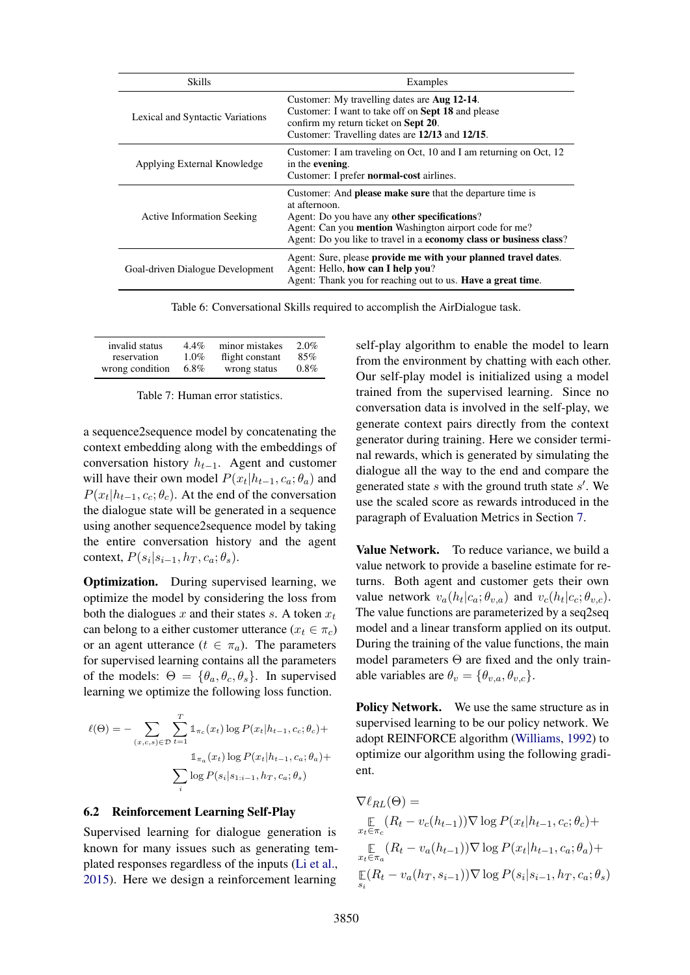| Skills                                  | Examples                                                                                                                                                                                                                                                                 |  |  |
|-----------------------------------------|--------------------------------------------------------------------------------------------------------------------------------------------------------------------------------------------------------------------------------------------------------------------------|--|--|
| <b>Lexical and Syntactic Variations</b> | Customer: My travelling dates are <b>Aug 12-14</b> .<br>Customer: I want to take off on <b>Sept 18</b> and please<br>confirm my return ticket on <b>Sept 20</b> .<br>Customer: Travelling dates are 12/13 and 12/15.                                                     |  |  |
| Applying External Knowledge             | Customer: I am traveling on Oct, 10 and I am returning on Oct, 12<br>in the evening.<br>Customer: I prefer <b>normal-cost</b> airlines.                                                                                                                                  |  |  |
| <b>Active Information Seeking</b>       | Customer: And <b>please make sure</b> that the departure time is<br>at afternoon.<br>Agent: Do you have any other specifications?<br>Agent: Can you <b>mention</b> Washington airport code for me?<br>Agent: Do you like to travel in a economy class or business class? |  |  |
| Goal-driven Dialogue Development        | Agent: Sure, please provide me with your planned travel dates.<br>Agent: Hello, how can I help you?<br>Agent: Thank you for reaching out to us. <b>Have a great time</b> .                                                                                               |  |  |

<span id="page-6-0"></span>Table 6: Conversational Skills required to accomplish the AirDialogue task.

| invalid status  | $4.4\%$ | minor mistakes  | $2.0\%$ |
|-----------------|---------|-----------------|---------|
| reservation     | $1.0\%$ | flight constant | 85%     |
| wrong condition | $6.8\%$ | wrong status    | $0.8\%$ |

<span id="page-6-1"></span>Table 7: Human error statistics.

a sequence2sequence model by concatenating the context embedding along with the embeddings of conversation history  $h_{t-1}$ . Agent and customer will have their own model  $P(x_t | h_{t-1}, c_a; \theta_a)$  and  $P(x_t | h_{t-1}, c_c; \theta_c)$ . At the end of the conversation the dialogue state will be generated in a sequence using another sequence2sequence model by taking the entire conversation history and the agent context,  $P(s_i|s_{i-1}, h_T, c_a; \theta_s)$ .

Optimization. During supervised learning, we optimize the model by considering the loss from both the dialogues x and their states s. A token  $x_t$ can belong to a either customer utterance  $(x_t \in \pi_c)$ or an agent utterance  $(t \in \pi_a)$ . The parameters for supervised learning contains all the parameters of the models:  $\Theta = {\theta_a, \theta_c, \theta_s}$ . In supervised learning we optimize the following loss function.

$$
\ell(\Theta) = -\sum_{(x,c,s)\in\mathcal{D}} \sum_{t=1}^{T} \mathbb{1}_{\pi_c}(x_t) \log P(x_t | h_{t-1}, c_c; \theta_c) +
$$

$$
\mathbb{1}_{\pi_a}(x_t) \log P(x_t | h_{t-1}, c_a; \theta_a) +
$$

$$
\sum_{i} \log P(s_i | s_{1:i-1}, h_T, c_a; \theta_s)
$$

#### 6.2 Reinforcement Learning Self-Play

Supervised learning for dialogue generation is known for many issues such as generating templated responses regardless of the inputs [\(Li et al.,](#page-9-20) [2015\)](#page-9-20). Here we design a reinforcement learning self-play algorithm to enable the model to learn from the environment by chatting with each other. Our self-play model is initialized using a model trained from the supervised learning. Since no conversation data is involved in the self-play, we generate context pairs directly from the context generator during training. Here we consider terminal rewards, which is generated by simulating the dialogue all the way to the end and compare the generated state  $s$  with the ground truth state  $s'$ . We use the scaled score as rewards introduced in the paragraph of Evaluation Metrics in Section [7.](#page-7-0)

Value Network. To reduce variance, we build a value network to provide a baseline estimate for returns. Both agent and customer gets their own value network  $v_a(h_t|c_a; \theta_{v,a})$  and  $v_c(h_t|c_c; \theta_{v,c})$ . The value functions are parameterized by a seq2seq model and a linear transform applied on its output. During the training of the value functions, the main model parameters  $\Theta$  are fixed and the only trainable variables are  $\theta_v = {\theta_{v,a}, \theta_{v,c}}$ .

Policy Network. We use the same structure as in supervised learning to be our policy network. We adopt REINFORCE algorithm [\(Williams,](#page-10-5) [1992\)](#page-10-5) to optimize our algorithm using the following gradient.

$$
\nabla \ell_{RL}(\Theta) =
$$
  
\n
$$
\mathbb{E} (R_t - v_c(h_{t-1})) \nabla \log P(x_t | h_{t-1}, c_c; \theta_c) +
$$
  
\n
$$
\mathbb{E} (R_t - v_a(h_{t-1})) \nabla \log P(x_t | h_{t-1}, c_a; \theta_a) +
$$
  
\n
$$
\mathbb{E} (R_t - v_a(h_T, s_{i-1})) \nabla \log P(s_i | s_{i-1}, h_T, c_a; \theta_s)
$$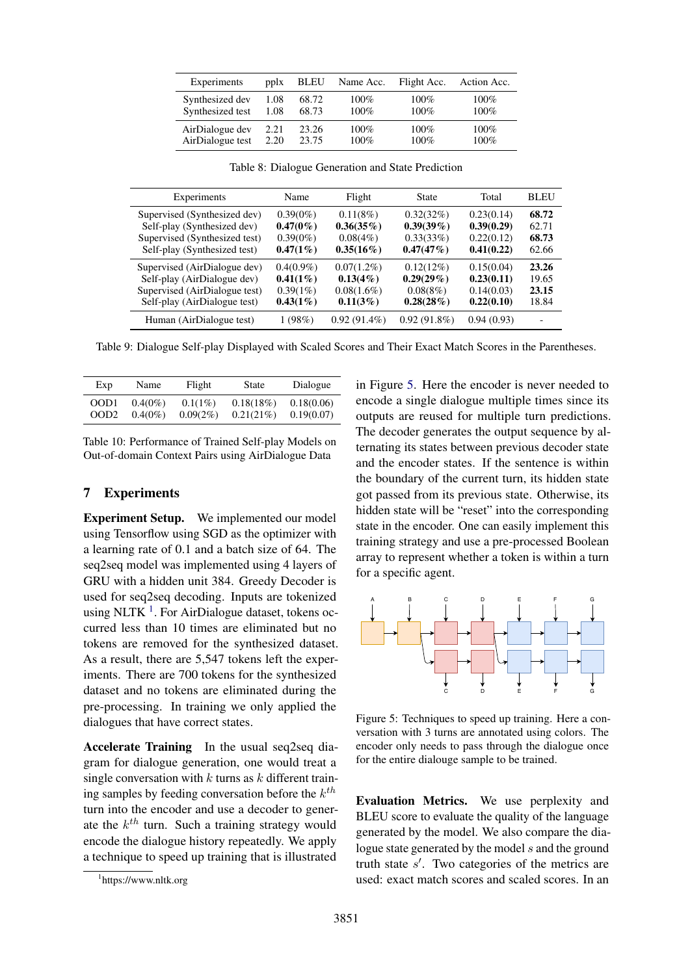| Experiments      | pplx | <b>BLEU</b> | Name Acc. | Flight Acc. | Action Acc. |
|------------------|------|-------------|-----------|-------------|-------------|
| Synthesized dev  | 1.08 | 68.72       | $100\%$   | $100\%$     | 100%        |
| Synthesized test | 1.08 | 68.73       | $100\%$   | $100\%$     | 100%        |
| AirDialogue dev  | 2.21 | 23.26       | $100\%$   | $100\%$     | 100%        |
| AirDialogue test | 2.20 | 23.75       | $100\%$   | 100%        | 100%        |

Experiments Name Flight State Total BLEU Supervised (Synthesized dev) 0.39(0%) 0.11(8%) 0.32(32%) 0.23(0.14) 68.72 Self-play (Synthesized dev)  $0.47(0\%)$   $0.36(35\%)$   $0.39(39\%)$   $0.39(0.29)$  62.71<br>Supervised (Synthesized test) 0.39(0%) 0.08(4%) 0.33(33%) 0.22(0.12) 68.73 Supervised (Synthesized test) Self-play (Synthesized test) 0.47(1%) 0.35(16%) 0.47(47%) 0.41(0.22) 62.66 Supervised (AirDialogue dev)  $0.4(0.9\%)$   $0.07(1.2\%)$   $0.12(12\%)$   $0.15(0.04)$  **23.26** Self-play (AirDialogue dev) **0.41(1%) 0.13(4%) 0.29(29%) 0.23(0.11)** 19.65<br>Supervised (AirDialogue test) 0.39(1%) 0.08(1.6%) 0.08(8%) 0.14(0.03) 23.15 Supervised (AirDialogue test) Self-play (AirDialogue test)  $0.43(1\%)$   $0.11(3\%)$   $0.28(28\%)$   $0.22(0.10)$  18.84 Human (AirDialogue test) 1 (98%) 0.92 (91.4%) 0.92 (91.8%) 0.94 (0.93) -

<span id="page-7-3"></span>Table 8: Dialogue Generation and State Prediction

<span id="page-7-4"></span>Table 9: Dialogue Self-play Displayed with Scaled Scores and Their Exact Match Scores in the Parentheses.

| Exp              | Name       | Flight      | State     | Dialogue   |
|------------------|------------|-------------|-----------|------------|
| OOD1             | $0.4(0\%)$ | $0.1(1\%)$  | 0.18(18%) | 0.18(0.06) |
| OOD <sub>2</sub> | $0.4(0\%)$ | $0.09(2\%)$ | 0.21(21%) | 0.19(0.07) |

<span id="page-7-5"></span>Table 10: Performance of Trained Self-play Models on Out-of-domain Context Pairs using AirDialogue Data

### 7 Experiments

Experiment Setup. We implemented our model using Tensorflow using SGD as the optimizer with a learning rate of 0.1 and a batch size of 64. The seq2seq model was implemented using 4 layers of GRU with a hidden unit 384. Greedy Decoder is used for seq2seq decoding. Inputs are tokenized using NLTK  $<sup>1</sup>$  $<sup>1</sup>$  $<sup>1</sup>$ . For AirDialogue dataset, tokens oc-</sup> curred less than 10 times are eliminated but no tokens are removed for the synthesized dataset. As a result, there are 5,547 tokens left the experiments. There are 700 tokens for the synthesized dataset and no tokens are eliminated during the pre-processing. In training we only applied the dialogues that have correct states.

Accelerate Training In the usual seq2seq diagram for dialogue generation, one would treat a single conversation with  $k$  turns as  $k$  different training samples by feeding conversation before the  $k^{th}$ turn into the encoder and use a decoder to generate the  $k^{th}$  turn. Such a training strategy would encode the dialogue history repeatedly. We apply a technique to speed up training that is illustrated

in Figure [5.](#page-7-2) Here the encoder is never needed to encode a single dialogue multiple times since its outputs are reused for multiple turn predictions. The decoder generates the output sequence by alternating its states between previous decoder state and the encoder states. If the sentence is within the boundary of the current turn, its hidden state got passed from its previous state. Otherwise, its hidden state will be "reset" into the corresponding state in the encoder. One can easily implement this training strategy and use a pre-processed Boolean array to represent whether a token is within a turn for a specific agent.



<span id="page-7-2"></span>Figure 5: Techniques to speed up training. Here a conversation with 3 turns are annotated using colors. The encoder only needs to pass through the dialogue once for the entire dialouge sample to be trained.

<span id="page-7-0"></span>Evaluation Metrics. We use perplexity and BLEU score to evaluate the quality of the language generated by the model. We also compare the dialogue state generated by the model  $s$  and the ground truth state  $s'$ . Two categories of the metrics are used: exact match scores and scaled scores. In an

<span id="page-7-1"></span><sup>1</sup> https://www.nltk.org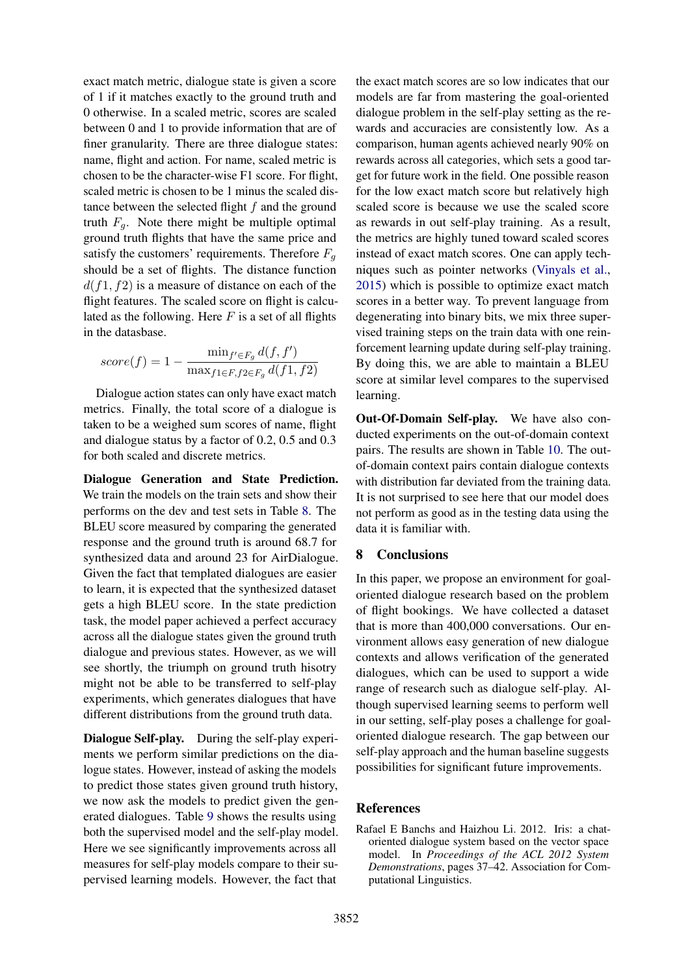exact match metric, dialogue state is given a score of 1 if it matches exactly to the ground truth and 0 otherwise. In a scaled metric, scores are scaled between 0 and 1 to provide information that are of finer granularity. There are three dialogue states: name, flight and action. For name, scaled metric is chosen to be the character-wise F1 score. For flight, scaled metric is chosen to be 1 minus the scaled distance between the selected flight  $f$  and the ground truth  $F_q$ . Note there might be multiple optimal ground truth flights that have the same price and satisfy the customers' requirements. Therefore  $F_q$ should be a set of flights. The distance function  $d(f1, f2)$  is a measure of distance on each of the flight features. The scaled score on flight is calculated as the following. Here  $F$  is a set of all flights in the datasbase.

$$
score(f) = 1 - \frac{\min_{f' \in F_g} d(f, f')}{\max_{f1 \in F, f2 \in F_g} d(f1, f2)}
$$

Dialogue action states can only have exact match metrics. Finally, the total score of a dialogue is taken to be a weighed sum scores of name, flight and dialogue status by a factor of 0.2, 0.5 and 0.3 for both scaled and discrete metrics.

Dialogue Generation and State Prediction. We train the models on the train sets and show their performs on the dev and test sets in Table [8.](#page-7-3) The BLEU score measured by comparing the generated response and the ground truth is around 68.7 for synthesized data and around 23 for AirDialogue. Given the fact that templated dialogues are easier to learn, it is expected that the synthesized dataset gets a high BLEU score. In the state prediction task, the model paper achieved a perfect accuracy across all the dialogue states given the ground truth dialogue and previous states. However, as we will see shortly, the triumph on ground truth hisotry might not be able to be transferred to self-play experiments, which generates dialogues that have different distributions from the ground truth data.

Dialogue Self-play. During the self-play experiments we perform similar predictions on the dialogue states. However, instead of asking the models to predict those states given ground truth history, we now ask the models to predict given the generated dialogues. Table [9](#page-7-4) shows the results using both the supervised model and the self-play model. Here we see significantly improvements across all measures for self-play models compare to their supervised learning models. However, the fact that

the exact match scores are so low indicates that our models are far from mastering the goal-oriented dialogue problem in the self-play setting as the rewards and accuracies are consistently low. As a comparison, human agents achieved nearly 90% on rewards across all categories, which sets a good target for future work in the field. One possible reason for the low exact match score but relatively high scaled score is because we use the scaled score as rewards in out self-play training. As a result, the metrics are highly tuned toward scaled scores instead of exact match scores. One can apply techniques such as pointer networks [\(Vinyals et al.,](#page-10-6) [2015\)](#page-10-6) which is possible to optimize exact match scores in a better way. To prevent language from degenerating into binary bits, we mix three supervised training steps on the train data with one reinforcement learning update during self-play training. By doing this, we are able to maintain a BLEU score at similar level compares to the supervised learning.

Out-Of-Domain Self-play. We have also conducted experiments on the out-of-domain context pairs. The results are shown in Table [10.](#page-7-5) The outof-domain context pairs contain dialogue contexts with distribution far deviated from the training data. It is not surprised to see here that our model does not perform as good as in the testing data using the data it is familiar with.

### 8 Conclusions

In this paper, we propose an environment for goaloriented dialogue research based on the problem of flight bookings. We have collected a dataset that is more than 400,000 conversations. Our environment allows easy generation of new dialogue contexts and allows verification of the generated dialogues, which can be used to support a wide range of research such as dialogue self-play. Although supervised learning seems to perform well in our setting, self-play poses a challenge for goaloriented dialogue research. The gap between our self-play approach and the human baseline suggests possibilities for significant future improvements.

#### References

<span id="page-8-0"></span>Rafael E Banchs and Haizhou Li. 2012. Iris: a chatoriented dialogue system based on the vector space model. In *Proceedings of the ACL 2012 System Demonstrations*, pages 37–42. Association for Computational Linguistics.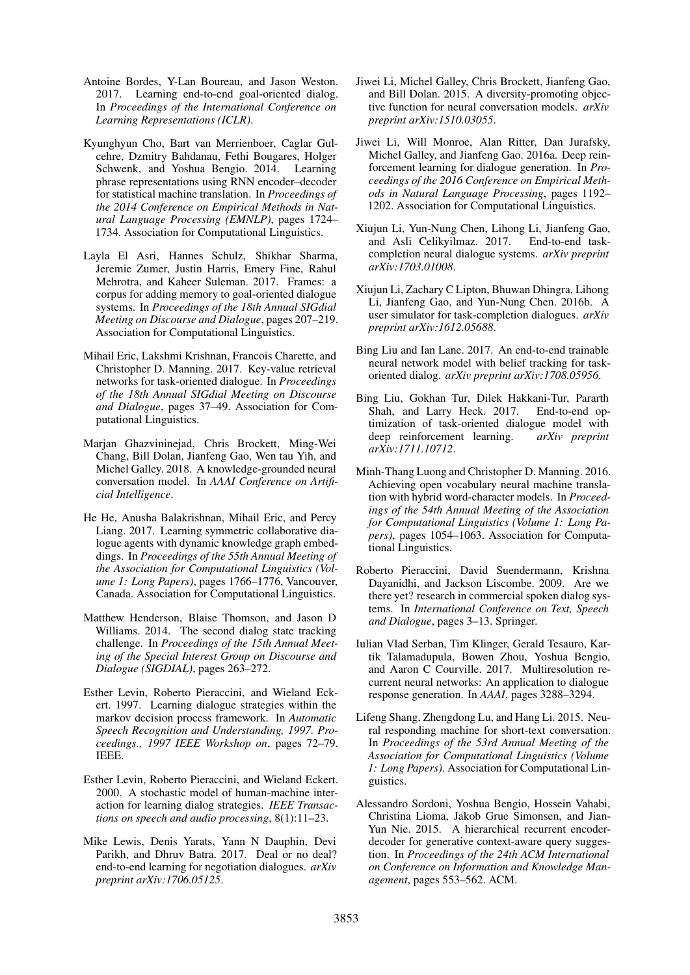- <span id="page-9-6"></span>Antoine Bordes, Y-Lan Boureau, and Jason Weston. 2017. Learning end-to-end goal-oriented dialog. In *Proceedings of the International Conference on Learning Representations (ICLR)*.
- <span id="page-9-2"></span>Kyunghyun Cho, Bart van Merrienboer, Caglar Gulcehre, Dzmitry Bahdanau, Fethi Bougares, Holger Schwenk, and Yoshua Bengio. 2014. Learning phrase representations using RNN encoder–decoder for statistical machine translation. In *Proceedings of the 2014 Conference on Empirical Methods in Natural Language Processing (EMNLP)*, pages 1724– 1734. Association for Computational Linguistics.
- <span id="page-9-17"></span>Layla El Asri, Hannes Schulz, Shikhar Sharma, Jeremie Zumer, Justin Harris, Emery Fine, Rahul Mehrotra, and Kaheer Suleman. 2017. Frames: a corpus for adding memory to goal-oriented dialogue systems. In *Proceedings of the 18th Annual SIGdial Meeting on Discourse and Dialogue*, pages 207–219. Association for Computational Linguistics.
- <span id="page-9-18"></span>Mihail Eric, Lakshmi Krishnan, Francois Charette, and Christopher D. Manning. 2017. Key-value retrieval networks for task-oriented dialogue. In *Proceedings of the 18th Annual SIGdial Meeting on Discourse and Dialogue*, pages 37–49. Association for Computational Linguistics.
- <span id="page-9-10"></span>Marjan Ghazvininejad, Chris Brockett, Ming-Wei Chang, Bill Dolan, Jianfeng Gao, Wen tau Yih, and Michel Galley. 2018. A knowledge-grounded neural conversation model. In *AAAI Conference on Artificial Intelligence*.
- <span id="page-9-16"></span>He He, Anusha Balakrishnan, Mihail Eric, and Percy Liang. 2017. Learning symmetric collaborative dialogue agents with dynamic knowledge graph embeddings. In *Proceedings of the 55th Annual Meeting of the Association for Computational Linguistics (Volume 1: Long Papers)*, pages 1766–1776, Vancouver, Canada. Association for Computational Linguistics.
- <span id="page-9-15"></span>Matthew Henderson, Blaise Thomson, and Jason D Williams. 2014. The second dialog state tracking challenge. In *Proceedings of the 15th Annual Meeting of the Special Interest Group on Discourse and Dialogue (SIGDIAL)*, pages 263–272.
- <span id="page-9-0"></span>Esther Levin, Roberto Pieraccini, and Wieland Eckert. 1997. Learning dialogue strategies within the markov decision process framework. In *Automatic Speech Recognition and Understanding, 1997. Proceedings., 1997 IEEE Workshop on*, pages 72–79. IEEE.
- <span id="page-9-1"></span>Esther Levin, Roberto Pieraccini, and Wieland Eckert. 2000. A stochastic model of human-machine interaction for learning dialog strategies. *IEEE Transactions on speech and audio processing*, 8(1):11–23.
- <span id="page-9-7"></span>Mike Lewis, Denis Yarats, Yann N Dauphin, Devi Parikh, and Dhruv Batra. 2017. Deal or no deal? end-to-end learning for negotiation dialogues. *arXiv preprint arXiv:1706.05125*.
- <span id="page-9-20"></span>Jiwei Li, Michel Galley, Chris Brockett, Jianfeng Gao, and Bill Dolan. 2015. A diversity-promoting objective function for neural conversation models. *arXiv preprint arXiv:1510.03055*.
- <span id="page-9-5"></span>Jiwei Li, Will Monroe, Alan Ritter, Dan Jurafsky, Michel Galley, and Jianfeng Gao. 2016a. Deep reinforcement learning for dialogue generation. In *Proceedings of the 2016 Conference on Empirical Methods in Natural Language Processing*, pages 1192– 1202. Association for Computational Linguistics.
- <span id="page-9-11"></span>Xiujun Li, Yun-Nung Chen, Lihong Li, Jianfeng Gao, and Asli Celikyilmaz. 2017. End-to-end taskcompletion neural dialogue systems. *arXiv preprint arXiv:1703.01008*.
- <span id="page-9-19"></span>Xiujun Li, Zachary C Lipton, Bhuwan Dhingra, Lihong Li, Jianfeng Gao, and Yun-Nung Chen. 2016b. A user simulator for task-completion dialogues. *arXiv preprint arXiv:1612.05688*.
- <span id="page-9-12"></span>Bing Liu and Ian Lane. 2017. An end-to-end trainable neural network model with belief tracking for taskoriented dialog. *arXiv preprint arXiv:1708.05956*.
- <span id="page-9-13"></span>Bing Liu, Gokhan Tur, Dilek Hakkani-Tur, Pararth Shah, and Larry Heck. 2017. End-to-end optimization of task-oriented dialogue model with deep reinforcement learning. *arXiv preprint arXiv:1711.10712*.
- <span id="page-9-14"></span>Minh-Thang Luong and Christopher D. Manning. 2016. Achieving open vocabulary neural machine translation with hybrid word-character models. In *Proceedings of the 54th Annual Meeting of the Association for Computational Linguistics (Volume 1: Long Papers)*, pages 1054–1063. Association for Computational Linguistics.
- <span id="page-9-8"></span>Roberto Pieraccini, David Suendermann, Krishna Dayanidhi, and Jackson Liscombe. 2009. Are we there yet? research in commercial spoken dialog systems. In *International Conference on Text, Speech and Dialogue*, pages 3–13. Springer.
- <span id="page-9-9"></span>Iulian Vlad Serban, Tim Klinger, Gerald Tesauro, Kartik Talamadupula, Bowen Zhou, Yoshua Bengio, and Aaron C Courville. 2017. Multiresolution recurrent neural networks: An application to dialogue response generation. In *AAAI*, pages 3288–3294.
- <span id="page-9-3"></span>Lifeng Shang, Zhengdong Lu, and Hang Li. 2015. Neural responding machine for short-text conversation. In *Proceedings of the 53rd Annual Meeting of the Association for Computational Linguistics (Volume 1: Long Papers)*. Association for Computational Linguistics.
- <span id="page-9-4"></span>Alessandro Sordoni, Yoshua Bengio, Hossein Vahabi, Christina Lioma, Jakob Grue Simonsen, and Jian-Yun Nie. 2015. A hierarchical recurrent encoderdecoder for generative context-aware query suggestion. In *Proceedings of the 24th ACM International on Conference on Information and Knowledge Management*, pages 553–562. ACM.